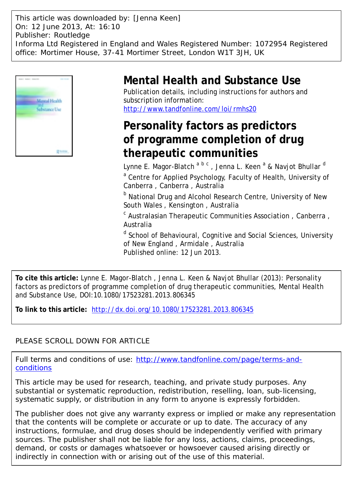This article was downloaded by: [Jenna Keen] On: 12 June 2013, At: 16:10 Publisher: Routledge Informa Ltd Registered in England and Wales Registered Number: 1072954 Registered office: Mortimer House, 37-41 Mortimer Street, London W1T 3JH, UK



# **Mental Health and Substance Use**

Publication details, including instructions for authors and subscription information: <http://www.tandfonline.com/loi/rmhs20>

# **Personality factors as predictors of programme completion of drug therapeutic communities**

Lynne E. Magor-Blatch <sup>a b c</sup> , Jenna L. Keen <sup>a</sup> & Navjot Bhullar <sup>d</sup> <sup>a</sup> Centre for Applied Psychology, Faculty of Health, University of Canberra , Canberra , Australia

**b** National Drug and Alcohol Research Centre, University of New South Wales , Kensington , Australia

<sup>c</sup> Australasian Therapeutic Communities Association, Canberra, Australia

<sup>d</sup> School of Behavioural, Cognitive and Social Sciences, University of New England , Armidale , Australia Published online: 12 Jun 2013.

**To cite this article:** Lynne E. Magor-Blatch , Jenna L. Keen & Navjot Bhullar (2013): Personality factors as predictors of programme completion of drug therapeutic communities, Mental Health and Substance Use, DOI:10.1080/17523281.2013.806345

**To link to this article:** <http://dx.doi.org/10.1080/17523281.2013.806345>

# PLEASE SCROLL DOWN FOR ARTICLE

Full terms and conditions of use: [http://www.tandfonline.com/page/terms-and](http://www.tandfonline.com/page/terms-and-conditions)[conditions](http://www.tandfonline.com/page/terms-and-conditions)

This article may be used for research, teaching, and private study purposes. Any substantial or systematic reproduction, redistribution, reselling, loan, sub-licensing, systematic supply, or distribution in any form to anyone is expressly forbidden.

The publisher does not give any warranty express or implied or make any representation that the contents will be complete or accurate or up to date. The accuracy of any instructions, formulae, and drug doses should be independently verified with primary sources. The publisher shall not be liable for any loss, actions, claims, proceedings, demand, or costs or damages whatsoever or howsoever caused arising directly or indirectly in connection with or arising out of the use of this material.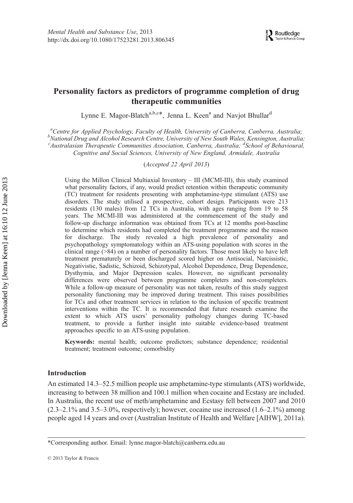# Personality factors as predictors of programme completion of drug therapeutic communities

Lynne E. Magor-Blatch<sup>a,b,c\*</sup>, Jenna L. Keen<sup>a</sup> and Navjot Bhullar<sup>d</sup>

<sup>a</sup> Centre for Applied Psychology, Faculty of Health, University of Canberra, Canberra, Australia;<br><sup>b</sup>National Drug and Alcohol Pessarch Centre, University of New South Wales, Kensington, Australia;  $^{b}$ National Drug and Alcohol Research Centre, University of New South Wales, Kensington, Australia; <sup>c</sup> Australasian Therapeutic Communities Association, Canberra, Australia; <sup>d</sup> School of Behavioural, Cognitive and Social Sciences, University of New England, Armidale, Australia

(Accepted 22 April 2013)

Using the Millon Clinical Multiaxial Inventory – III (MCMI-III), this study examined what personality factors, if any, would predict retention within therapeutic community (TC) treatment for residents presenting with amphetamine-type stimulant (ATS) use disorders. The study utilised a prospective, cohort design. Participants were 213 residents (130 males) from 12 TCs in Australia, with ages ranging from 19 to 58 years. The MCMI-III was administered at the commencement of the study and follow-up discharge information was obtained from TCs at 12 months post-baseline to determine which residents had completed the treatment programme and the reason for discharge. The study revealed a high prevalence of personality and psychopathology symptomatology within an ATS-using population with scores in the clinical range (>84) on a number of personality factors. Those most likely to have left treatment prematurely or been discharged scored higher on Antisocial, Narcissistic, Negativistic, Sadistic, Schizoid, Schizotypal, Alcohol Dependence, Drug Dependence, Dysthymia, and Major Depression scales. However, no significant personality differences were observed between programme completers and non-completers. While a follow-up measure of personality was not taken, results of this study suggest personality functioning may be improved during treatment. This raises possibilities for TCs and other treatment services in relation to the inclusion of specific treatment interventions within the TC. It is recommended that future research examine the extent to which ATS users' personality pathology changes during TC-based treatment, to provide a further insight into suitable evidence-based treatment approaches specific to an ATS-using population.

Keywords: mental health; outcome predictors; substance dependence; residential treatment; treatment outcome; comorbidity

#### Introduction

An estimated 14.3–52.5 million people use amphetamine-type stimulants (ATS) worldwide, increasing to between 38 million and 100.1 million when cocaine and Ecstasy are included. In Australia, the recent use of meth/amphetamine and Ecstasy fell between 2007 and 2010  $(2.3-2.1\%$  and  $3.5-3.0\%$ , respectively); however, cocaine use increased  $(1.6-2.1\%)$  among people aged 14 years and over (Australian Institute of Health and Welfare [AIHW], 2011a).

<sup>\*</sup>Corresponding author. Email: lynne.magor-blatch@canberra.edu.au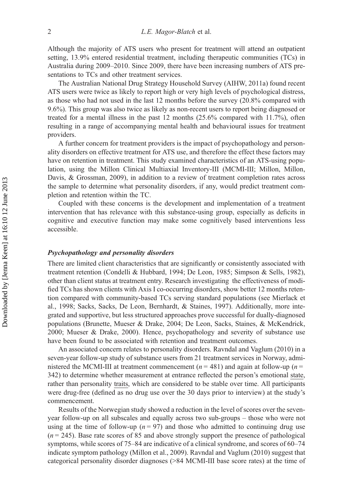Although the majority of ATS users who present for treatment will attend an outpatient setting, 13.9% entered residential treatment, including therapeutic communities (TCs) in Australia during 2009–2010. Since 2009, there have been increasing numbers of ATS presentations to TCs and other treatment services.

The Australian National Drug Strategy Household Survey (AIHW, 2011a) found recent ATS users were twice as likely to report high or very high levels of psychological distress, as those who had not used in the last 12 months before the survey (20.8% compared with 9.6%). This group was also twice as likely as non-recent users to report being diagnosed or treated for a mental illness in the past 12 months (25.6% compared with 11.7%), often resulting in a range of accompanying mental health and behavioural issues for treatment providers.

A further concern for treatment providers is the impact of psychopathology and personality disorders on effective treatment for ATS use, and therefore the effect these factors may have on retention in treatment. This study examined characteristics of an ATS-using population, using the Millon Clinical Multiaxial Inventory-III (MCMI-III; Millon, Millon, Davis, & Grossman, 2009), in addition to a review of treatment completion rates across the sample to determine what personality disorders, if any, would predict treatment completion and retention within the TC.

Coupled with these concerns is the development and implementation of a treatment intervention that has relevance with this substance-using group, especially as deficits in cognitive and executive function may make some cognitively based interventions less accessible.

# Psychopathology and personality disorders

There are limited client characteristics that are significantly or consistently associated with treatment retention (Condelli & Hubbard, 1994; De Leon, 1985; Simpson & Sells, 1982), other than client status at treatment entry. Research investigating the effectiveness of modified TCs has shown clients with Axis I co-occurring disorders, show better 12 months retention compared with community-based TCs serving standard populations (see Mierlack et al., 1998; Sacks, Sacks, De Leon, Bernhardt, & Staines, 1997). Additionally, more integrated and supportive, but less structured approaches prove successful for dually-diagnosed populations (Brunette, Mueser & Drake, 2004; De Leon, Sacks, Staines, & McKendrick, 2000; Mueser & Drake, 2000). Hence, psychopathology and severity of substance use have been found to be associated with retention and treatment outcomes.

An associated concern relates to personality disorders. Ravndal and Vaglum (2010) in a seven-year follow-up study of substance users from 21 treatment services in Norway, administered the MCMI-III at treatment commencement ( $n = 481$ ) and again at follow-up ( $n =$ 342) to determine whether measurement at entrance reflected the person's emotional state, rather than personality traits, which are considered to be stable over time. All participants were drug-free (defined as no drug use over the 30 days prior to interview) at the study's commencement.

Results of the Norwegian study showed a reduction in the level of scores over the sevenyear follow-up on all subscales and equally across two sub-groups – those who were not using at the time of follow-up ( $n = 97$ ) and those who admitted to continuing drug use  $(n = 245)$ . Base rate scores of 85 and above strongly support the presence of pathological symptoms, while scores of 75–84 are indicative of a clinical syndrome, and scores of 60–74 indicate symptom pathology (Millon et al., 2009). Ravndal and Vaglum (2010) suggest that categorical personality disorder diagnoses (>84 MCMI-III base score rates) at the time of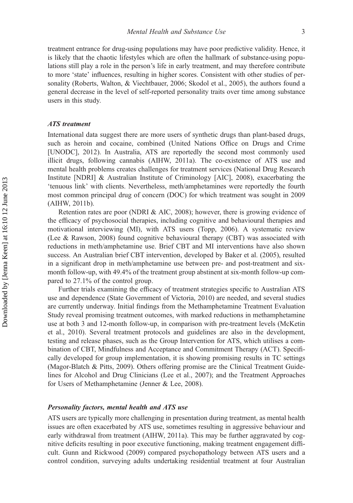treatment entrance for drug-using populations may have poor predictive validity. Hence, it is likely that the chaotic lifestyles which are often the hallmark of substance-using populations still play a role in the person's life in early treatment, and may therefore contribute to more 'state' influences, resulting in higher scores. Consistent with other studies of personality (Roberts, Walton, & Viechtbauer, 2006; Skodol et al., 2005), the authors found a general decrease in the level of self-reported personality traits over time among substance users in this study.

# ATS treatment

International data suggest there are more users of synthetic drugs than plant-based drugs, such as heroin and cocaine, combined (United Nations Office on Drugs and Crime [UNODC], 2012). In Australia, ATS are reportedly the second most commonly used illicit drugs, following cannabis (AIHW, 2011a). The co-existence of ATS use and mental health problems creates challenges for treatment services (National Drug Research Institute [NDRI] & Australian Institute of Criminology [AIC], 2008), exacerbating the 'tenuous link' with clients. Nevertheless, meth/amphetamines were reportedly the fourth most common principal drug of concern (DOC) for which treatment was sought in 2009 (AIHW, 2011b).

Retention rates are poor (NDRI & AIC, 2008); however, there is growing evidence of the efficacy of psychosocial therapies, including cognitive and behavioural therapies and motivational interviewing (MI), with ATS users (Topp, 2006). A systematic review (Lee & Rawson, 2008) found cognitive behavioural therapy (CBT) was associated with reductions in meth/amphetamine use. Brief CBT and MI interventions have also shown success. An Australian brief CBT intervention, developed by Baker et al. (2005), resulted in a significant drop in meth/amphetamine use between pre- and post-treatment and sixmonth follow-up, with 49.4% of the treatment group abstinent at six-month follow-up compared to 27.1% of the control group.

Further trials examining the efficacy of treatment strategies specific to Australian ATS use and dependence (State Government of Victoria, 2010) are needed, and several studies are currently underway. Initial findings from the Methamphetamine Treatment Evaluation Study reveal promising treatment outcomes, with marked reductions in methamphetamine use at both 3 and 12-month follow-up, in comparison with pre-treatment levels (McKetin et al., 2010). Several treatment protocols and guidelines are also in the development, testing and release phases, such as the Group Intervention for ATS, which utilises a combination of CBT, Mindfulness and Acceptance and Commitment Therapy (ACT). Specifically developed for group implementation, it is showing promising results in TC settings (Magor-Blatch & Pitts, 2009). Others offering promise are the Clinical Treatment Guidelines for Alcohol and Drug Clinicians (Lee et al., 2007); and the Treatment Approaches for Users of Methamphetamine (Jenner & Lee, 2008).

#### Personality factors, mental health and ATS use

ATS users are typically more challenging in presentation during treatment, as mental health issues are often exacerbated by ATS use, sometimes resulting in aggressive behaviour and early withdrawal from treatment (AIHW, 2011a). This may be further aggravated by cognitive deficits resulting in poor executive functioning, making treatment engagement difficult. Gunn and Rickwood (2009) compared psychopathology between ATS users and a control condition, surveying adults undertaking residential treatment at four Australian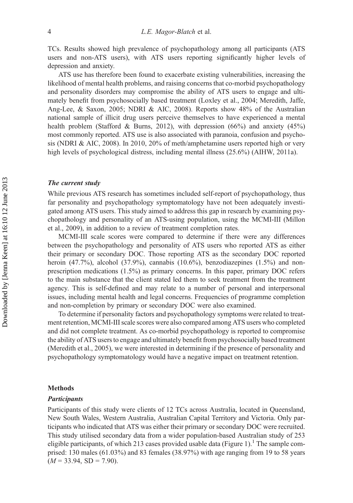TCs. Results showed high prevalence of psychopathology among all participants (ATS users and non-ATS users), with ATS users reporting significantly higher levels of depression and anxiety.

ATS use has therefore been found to exacerbate existing vulnerabilities, increasing the likelihood of mental health problems, and raising concerns that co-morbid psychopathology and personality disorders may compromise the ability of ATS users to engage and ultimately benefit from psychosocially based treatment (Loxley et al., 2004; Meredith, Jaffe, Ang-Lee, & Saxon, 2005; NDRI & AIC, 2008). Reports show 48% of the Australian national sample of illicit drug users perceive themselves to have experienced a mental health problem (Stafford & Burns, 2012), with depression  $(66%)$  and anxiety  $(45%)$ most commonly reported. ATS use is also associated with paranoia, confusion and psychosis (NDRI & AIC, 2008). In 2010, 20% of meth/amphetamine users reported high or very high levels of psychological distress, including mental illness (25.6%) (AIHW, 2011a).

## The current study

While previous ATS research has sometimes included self-report of psychopathology, thus far personality and psychopathology symptomatology have not been adequately investigated among ATS users. This study aimed to address this gap in research by examining psychopathology and personality of an ATS-using population, using the MCMI-III (Millon et al., 2009), in addition to a review of treatment completion rates.

MCMI-III scale scores were compared to determine if there were any differences between the psychopathology and personality of ATS users who reported ATS as either their primary or secondary DOC. Those reporting ATS as the secondary DOC reported heroin (47.7%), alcohol (37.9%), cannabis (10.6%), benzodiazepines (1.5%) and nonprescription medications (1.5%) as primary concerns. In this paper, primary DOC refers to the main substance that the client stated led them to seek treatment from the treatment agency. This is self-defined and may relate to a number of personal and interpersonal issues, including mental health and legal concerns. Frequencies of programme completion and non-completion by primary or secondary DOC were also examined.

To determine if personality factors and psychopathology symptoms were related to treatment retention, MCMI-III scale scores were also compared among ATS users who completed and did not complete treatment. As co-morbid psychopathology is reported to compromise the ability of ATS users to engage and ultimately benefit from psychosocially based treatment (Meredith et al., 2005), we were interested in determining if the presence of personality and psychopathology symptomatology would have a negative impact on treatment retention.

#### Methods

#### **Participants**

Participants of this study were clients of 12 TCs across Australia, located in Queensland, New South Wales, Western Australia, Australian Capital Territory and Victoria. Only participants who indicated that ATS was either their primary or secondary DOC were recruited. This study utilised secondary data from a wider population-based Australian study of 253 eligible participants, of which 213 cases provided usable data (Figure 1).<sup>1</sup> The sample comprised: 130 males (61.03%) and 83 females (38.97%) with age ranging from 19 to 58 years  $(M = 33.94, SD = 7.90).$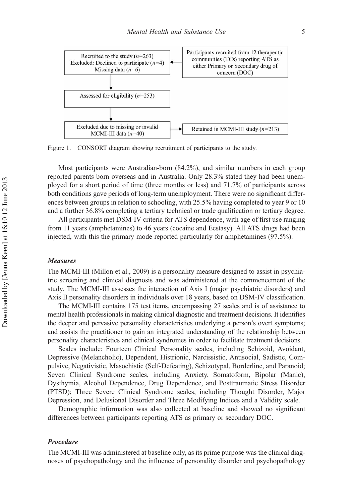

Figure 1. CONSORT diagram showing recruitment of participants to the study.

Most participants were Australian-born (84.2%), and similar numbers in each group reported parents born overseas and in Australia. Only 28.3% stated they had been unemployed for a short period of time (three months or less) and 71.7% of participants across both conditions gave periods of long-term unemployment. There were no significant differences between groups in relation to schooling, with 25.5% having completed to year 9 or 10 and a further 36.8% completing a tertiary technical or trade qualification or tertiary degree.

All participants met DSM-IV criteria for ATS dependence, with age of first use ranging from 11 years (amphetamines) to 46 years (cocaine and Ecstasy). All ATS drugs had been injected, with this the primary mode reported particularly for amphetamines (97.5%).

#### Measures

The MCMI-III (Millon et al., 2009) is a personality measure designed to assist in psychiatric screening and clinical diagnosis and was administered at the commencement of the study. The MCMI-III assesses the interaction of Axis I (major psychiatric disorders) and Axis II personality disorders in individuals over 18 years, based on DSM-IV classification.

The MCMI-III contains 175 test items, encompassing 27 scales and is of assistance to mental health professionals in making clinical diagnostic and treatment decisions. It identifies the deeper and pervasive personality characteristics underlying a person's overt symptoms; and assists the practitioner to gain an integrated understanding of the relationship between personality characteristics and clinical syndromes in order to facilitate treatment decisions.

Scales include: Fourteen Clinical Personality scales, including Schizoid, Avoidant, Depressive (Melancholic), Dependent, Histrionic, Narcissistic, Antisocial, Sadistic, Compulsive, Negativistic, Masochistic (Self-Defeating), Schizotypal, Borderline, and Paranoid; Seven Clinical Syndrome scales, including Anxiety, Somatoform, Bipolar (Manic), Dysthymia, Alcohol Dependence, Drug Dependence, and Posttraumatic Stress Disorder (PTSD); Three Severe Clinical Syndrome scales, including Thought Disorder, Major Depression, and Delusional Disorder and Three Modifying Indices and a Validity scale.

Demographic information was also collected at baseline and showed no significant differences between participants reporting ATS as primary or secondary DOC.

# Procedure

The MCMI-III was administered at baseline only, as its prime purpose was the clinical diagnoses of psychopathology and the influence of personality disorder and psychopathology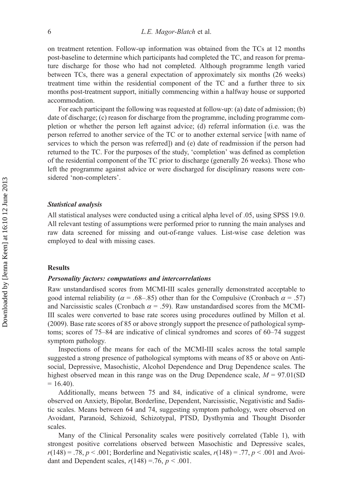on treatment retention. Follow-up information was obtained from the TCs at 12 months post-baseline to determine which participants had completed the TC, and reason for premature discharge for those who had not completed. Although programme length varied between TCs, there was a general expectation of approximately six months (26 weeks) treatment time within the residential component of the TC and a further three to six months post-treatment support, initially commencing within a halfway house or supported accommodation.

For each participant the following was requested at follow-up: (a) date of admission; (b) date of discharge; (c) reason for discharge from the programme, including programme completion or whether the person left against advice; (d) referral information (i.e. was the person referred to another service of the TC or to another external service [with name of services to which the person was referred]) and (e) date of readmission if the person had returned to the TC. For the purposes of the study, 'completion' was defined as completion of the residential component of the TC prior to discharge (generally 26 weeks). Those who left the programme against advice or were discharged for disciplinary reasons were considered 'non-completers'.

### Statistical analysis

All statistical analyses were conducted using a critical alpha level of .05, using SPSS 19.0. All relevant testing of assumptions were performed prior to running the main analyses and raw data screened for missing and out-of-range values. List-wise case deletion was employed to deal with missing cases.

#### Results

#### Personality factors: computations and intercorrelations

Raw unstandardised scores from MCMI-III scales generally demonstrated acceptable to good internal reliability ( $\alpha$  = .68–.85) other than for the Compulsive (Cronbach  $\alpha$  = .57) and Narcissistic scales (Cronbach  $\alpha = .59$ ). Raw unstandardised scores from the MCMI-III scales were converted to base rate scores using procedures outlined by Millon et al. (2009). Base rate scores of 85 or above strongly support the presence of pathological symptoms; scores of 75–84 are indicative of clinical syndromes and scores of 60–74 suggest symptom pathology.

Inspections of the means for each of the MCMI-III scales across the total sample suggested a strong presence of pathological symptoms with means of 85 or above on Antisocial, Depressive, Masochistic, Alcohol Dependence and Drug Dependence scales. The highest observed mean in this range was on the Drug Dependence scale,  $M = 97.01(SD)$  $= 16.40$ .

Additionally, means between 75 and 84, indicative of a clinical syndrome, were observed on Anxiety, Bipolar, Borderline, Dependent, Narcissistic, Negativistic and Sadistic scales. Means between 64 and 74, suggesting symptom pathology, were observed on Avoidant, Paranoid, Schizoid, Schizotypal, PTSD, Dysthymia and Thought Disorder scales.

Many of the Clinical Personality scales were positively correlated (Table 1), with strongest positive correlations observed between Masochistic and Depressive scales,  $r(148) = .78$ ,  $p < .001$ ; Borderline and Negativistic scales,  $r(148) = .77$ ,  $p < .001$  and Avoidant and Dependent scales,  $r(148) = 76$ ,  $p < .001$ .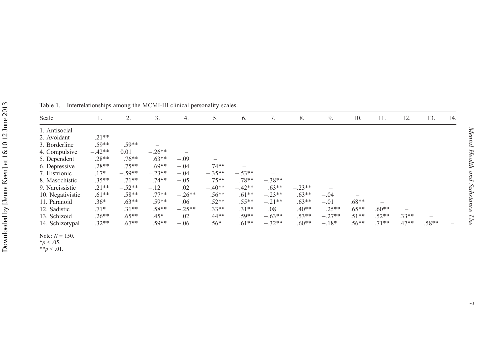|                                                  | Table 1. Int                                                                                                                                                                                                                                                                                  |
|--------------------------------------------------|-----------------------------------------------------------------------------------------------------------------------------------------------------------------------------------------------------------------------------------------------------------------------------------------------|
|                                                  | Scale                                                                                                                                                                                                                                                                                         |
| Downloaded by [Jenna Keen] at 16:10 12 June 2013 | 1. Antisocial<br>2. Avoidant<br>3. Borderline<br>4. Compulsiv<br>5. Dependent<br>6. Depressive<br>7. Histrionic<br>8. Masochisti<br>9. Narcissisti<br>10. Negativis<br>11. Paranoid<br>12. Sadistic<br>13. Schizoid<br>14. Schizotyp<br>Note: $N = 150$ .<br>$*_{p}$ < .05.<br>** $p < .01$ . |

1. Interrelationships among the MCMI-III clinical personality scales.

| Scale            | 1.       | 2.       | 3.       | 4.       | 5.       | 6.       | ⇁        | 8.       | 9.       | 10.     | 11.     | 12.     | 13.     | 14. |
|------------------|----------|----------|----------|----------|----------|----------|----------|----------|----------|---------|---------|---------|---------|-----|
| 1. Antisocial    |          |          |          |          |          |          |          |          |          |         |         |         |         |     |
| 2. Avoidant      | $.21**$  |          |          |          |          |          |          |          |          |         |         |         |         |     |
| 3. Borderline    | $.59**$  | $.59**$  |          |          |          |          |          |          |          |         |         |         |         |     |
| 4. Compulsive    | $-.42**$ | 0.01     | $-.26**$ |          |          |          |          |          |          |         |         |         |         |     |
| 5. Dependent     | $.28**$  | $.76**$  | $.63**$  | $-.09$   |          |          |          |          |          |         |         |         |         |     |
| 6. Depressive    | $.28**$  | $.75**$  | $.69**$  | $-.04$   | $.74**$  |          |          |          |          |         |         |         |         |     |
| 7. Histrionic    | $.17*$   | $-.59**$ | $-.23**$ | $-.04$   | $-.35**$ | $-.53**$ |          |          |          |         |         |         |         |     |
| 8. Masochistic   | $.35**$  | $.71**$  | $.74**$  | $-.05$   | $.75**$  | $.78**$  | $-.38**$ |          |          |         |         |         |         |     |
| 9. Narcissistic  | $.21**$  | $-.52**$ | $-.12$   | .02      | $-.40**$ | $-.42**$ | $.63**$  | $-.23**$ |          |         |         |         |         |     |
| 10. Negativistic | $.61**$  | $.58**$  | $.77**$  | $-.26**$ | $.56**$  | $.61**$  | $-.23**$ | $.63**$  | $-.04$   |         |         |         |         |     |
| 11. Paranoid     | $.36*$   | $.63**$  | $.59**$  | .06      | $.52**$  | $.55**$  | $-.21**$ | $.63**$  | $-.01$   | $.68**$ |         |         |         |     |
| 12. Sadistic     | $.71*$   | $.31**$  | $.58**$  | $-.25**$ | $.33**$  | $.31**$  | .08      | $.40**$  | $.25**$  | $.65**$ | $.60**$ |         |         |     |
| 13. Schizoid     | $.26**$  | $.65***$ | $.45*$   | .02      | $.44**$  | $.59**$  | $-.63**$ | $.53**$  | $-.27**$ | $.51**$ | $.52**$ | $.33**$ |         |     |
| 14. Schizotypal  | $.32**$  | $.67**$  | $.59**$  | $-.06$   | $.56*$   | $.61**$  | $-.32**$ | $.60**$  | $-.18*$  | $.56**$ | $.71**$ | $.47**$ | $.58**$ |     |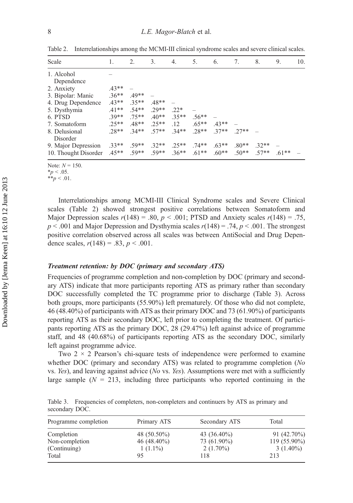| Scale                            | 1.      | 2.      | 3.      | 4.      | 5.       | 6.      | 7.      | 8.      | 9.      | 10. |
|----------------------------------|---------|---------|---------|---------|----------|---------|---------|---------|---------|-----|
| 1. Alcohol                       |         |         |         |         |          |         |         |         |         |     |
| Dependence                       |         |         |         |         |          |         |         |         |         |     |
| 2. Anxiety                       | $.43**$ |         |         |         |          |         |         |         |         |     |
| 3. Bipolar: Manic                | $.36**$ | $49**$  |         |         |          |         |         |         |         |     |
| 4. Drug Dependence               | $.43**$ | $.35**$ | $.48**$ |         |          |         |         |         |         |     |
| 5. Dysthymia                     | $.41**$ | $.54**$ | $70**$  | $22*$   |          |         |         |         |         |     |
| 6. PTSD                          | $39**$  | 75**    | $.40**$ | $35**$  | $.56**$  |         |         |         |         |     |
| 7. Somatoform                    | $25**$  | 48**    | $25**$  | .12     | $.65***$ | $43**$  |         |         |         |     |
| 8. Delusional                    | $28**$  | $34**$  | 57**    | $.34**$ | 28**     | $.37**$ | $27**$  |         |         |     |
| Disorder                         |         |         |         |         |          |         |         |         |         |     |
| 9. Major Depression              | $.33**$ | $.59**$ | $.32**$ | $.25**$ | $.74**$  | $.63**$ | $.80**$ | $32**$  |         |     |
| 10. Thought Disorder .45** .59** |         |         | $.59**$ | $.36**$ | $.61**$  | $.60**$ | $.50**$ | $.57**$ | $.61**$ |     |

Table 2. Interrelationships among the MCMI-III clinical syndrome scales and severe clinical scales.

Note:  $N = 150$ .

Interrelationships among MCMI-III Clinical Syndrome scales and Severe Clinical scales (Table 2) showed strongest positive correlations between Somatoform and Major Depression scales  $r(148) = .80$ ,  $p < .001$ ; PTSD and Anxiety scales  $r(148) = .75$ ,  $p < .001$  and Major Depression and Dysthymia scales  $r(148) = .74$ ,  $p < .001$ . The strongest positive correlation observed across all scales was between AntiSocial and Drug Dependence scales,  $r(148) = .83$ ,  $p < .001$ .

# Treatment retention: by DOC (primary and secondary ATS)

Frequencies of programme completion and non-completion by DOC (primary and secondary ATS) indicate that more participants reporting ATS as primary rather than secondary DOC successfully completed the TC programme prior to discharge (Table 3). Across both groups, more participants (55.90%) left prematurely. Of those who did not complete, 46 (48.40%) of participants with ATS as their primary DOC and 73 (61.90%) of participants reporting ATS as their secondary DOC, left prior to completing the treatment. Of participants reporting ATS as the primary DOC, 28 (29.47%) left against advice of programme staff, and 48 (40.68%) of participants reporting ATS as the secondary DOC, similarly left against programme advice.

Two  $2 \times 2$  Pearson's chi-square tests of independence were performed to examine whether DOC (primary and secondary ATS) was related to programme completion (No vs. Yes), and leaving against advice (No vs. Yes). Assumptions were met with a sufficiently large sample  $(N = 213)$ , including three participants who reported continuing in the

Table 3. Frequencies of completers, non-completers and continuers by ATS as primary and secondary DOC.

| Programme completion | Primary ATS    | Secondary ATS  | Total         |
|----------------------|----------------|----------------|---------------|
| Completion           | 48 $(50.50\%)$ | 43 $(36.40\%)$ | $91(42.70\%)$ |
| Non-completion       | 46 $(48.40\%)$ | 73 (61.90%)    | 119 (55.90%)  |
| (Continuing)         | $1(1.1\%)$     | $2(1.70\%)$    | $3(1.40\%)$   |
| Total                |                | 118            | 213           |

 $*_{p}$  < .05.

 $**_p < .01$ .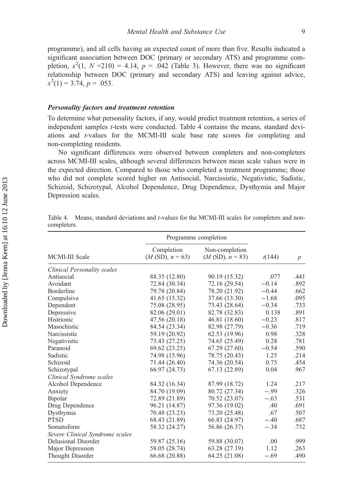programme), and all cells having an expected count of more than five. Results indicated a significant association between DOC (primary or secondary ATS) and programme completion,  $x^2(1, N = 210) = 4.14$ ,  $p = .042$  (Table 3). However, there was no significant relationship between DOC (primary and secondary ATS) and leaving against advice,  $x^2(1) = 3.\overline{7}4, p = .053.$ 

# Personality factors and treatment retention

To determine what personality factors, if any, would predict treatment retention, a series of independent samples t-tests were conducted. Table 4 contains the means, standard deviations and t-values for the MCMI-III scale base rate scores for completing and non-completing residents.

No significant differences were observed between completers and non-completers across MCMI-III scales, although several differences between mean scale values were in the expected direction. Compared to those who completed a treatment programme; those who did not complete scored higher on Antisocial, Narcissistic, Negativistic, Sadistic, Schizoid, Schizotypal, Alcohol Dependence, Drug Dependence, Dysthymia and Major Depression scales.

|                                    | Programme completion            |                                     |         |                 |  |
|------------------------------------|---------------------------------|-------------------------------------|---------|-----------------|--|
| <b>MCMI-III Scale</b>              | Completion<br>$(M(SD), n = 63)$ | Non-completion<br>$(M(SD), n = 83)$ | t(144)  | $p_{\parallel}$ |  |
| <b>Clinical Personality scales</b> |                                 |                                     |         |                 |  |
| Antisocial                         | 88.35 (12.80)                   | 90.19 (15.32)                       | .077    | .441            |  |
| Avoidant                           | 72.84 (30.34)                   | 72.16 (29.54)                       | $-0.14$ | .892            |  |
| <b>Borderline</b>                  | 79.78 (20.84)                   | 78.20 (21.92)                       | $-0.44$ | .662            |  |
| Compulsive                         | 41.65 (15.32)                   | 37.66 (13.30)                       | $-1.68$ | .095            |  |
| Dependent                          | 75.08 (28.95)                   | 73.43 (28.64)                       | $-0.34$ | .733            |  |
| Depressive                         | 82.06 (29.01)                   | 82.78 (32.83)                       | 0.138   | .891            |  |
| Histrionic                         | 47.56 (20.18)                   | 46.81 (18.60)                       | $-0.23$ | .817            |  |
| Masochistic                        | 84.54 (23.34)                   | 82.98 (27.79)                       | $-0.36$ | .719            |  |
| Narcissistic                       | 59.19 (20.92)                   | 62.53 (19.96)                       | 0.98    | .328            |  |
| Negativistic                       | 73.43 (27.25)                   | 74.65 (25.49)                       | 0.28    | .781            |  |
| Paranoid                           | 69.62 (23.25)                   | 67.29 (27.60)                       | $-0.54$ | .590            |  |
| Sadistic                           | 74.98 (15.96)                   | 78.75 (20.43)                       | 1.25    | .214            |  |
| Schizoid                           | 71.44 (26.40)                   | 74.36 (20.54)                       | 0.75    | .454            |  |
| Schizotypal                        | 66.97 (24.73)                   | 67.13 (22.89)                       | 0.04    | .967            |  |
| Clinical Syndrome scales           |                                 |                                     |         |                 |  |
| Alcohol Dependence                 | 84.32 (16.34)                   | 87.99 (18.72)                       | 1.24    | .217            |  |
| Anxiety                            | 84.70 (19.09)                   | 80.72 (27.34)                       | $-.99$  | .326            |  |
| Bipolar                            | 72.89 (21.89)                   | 70.52 (23.07)                       | $-.63$  | .531            |  |
| Drug Dependence                    | 96.21 (14.87)                   | 97.36 (19.02)                       | .40     | .691            |  |
| Dysthymia                          | 70.48 (23.23)                   | 73.20 (25.48)                       | .67     | .507            |  |
| <b>PTSD</b>                        | 68.43 (21.89)                   | 66.83 (24.97)                       | $-.40$  | .687            |  |
| Somatoform                         | 58.32 (24.27)                   | 56.86 (26.37)                       | $-.34$  | .732            |  |
| Severe Clinical Syndrome scales    |                                 |                                     |         |                 |  |
| <b>Delusional Disorder</b>         | 59.87 (25.16)                   | 59.88 (30.07)                       | .00     | .999            |  |
| Major Depression                   | 58.05 (28.74)                   | 63.28 (27.19)                       | 1.12    | .263            |  |
| Thought Disorder                   | 66.68 (20.88)                   | 64.25 (21.08)                       | $-.69$  | .490            |  |

|             |  |  |  |  | Table 4. Means, standard deviations and <i>t</i> -values for the MCMI-III scales for completers and non- |  |
|-------------|--|--|--|--|----------------------------------------------------------------------------------------------------------|--|
| completers. |  |  |  |  |                                                                                                          |  |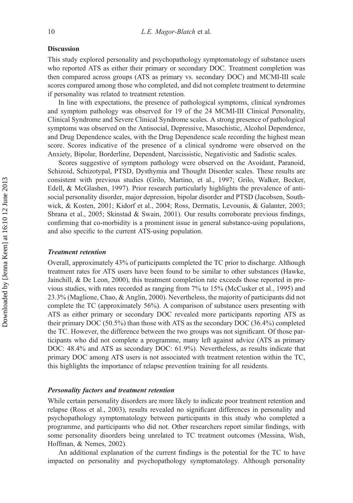# Discussion

This study explored personality and psychopathology symptomatology of substance users who reported ATS as either their primary or secondary DOC. Treatment completion was then compared across groups (ATS as primary vs. secondary DOC) and MCMI-III scale scores compared among those who completed, and did not complete treatment to determine if personality was related to treatment retention.

In line with expectations, the presence of pathological symptoms, clinical syndromes and symptom pathology was observed for 19 of the 24 MCMI-III Clinical Personality, Clinical Syndrome and Severe Clinical Syndrome scales. A strong presence of pathological symptoms was observed on the Antisocial, Depressive, Masochistic, Alcohol Dependence, and Drug Dependence scales, with the Drug Dependence scale recording the highest mean score. Scores indicative of the presence of a clinical syndrome were observed on the Anxiety, Bipolar, Borderline, Dependent, Narcissistic, Negativistic and Sadistic scales.

Scores suggestive of symptom pathology were observed on the Avoidant, Paranoid, Schizoid, Schizotypal, PTSD, Dysthymia and Thought Disorder scales. These results are consistent with previous studies (Grilo, Martino, et al., 1997; Grilo, Walker, Becker, Edell, & McGlashen, 1997). Prior research particularly highlights the prevalence of antisocial personality disorder, major depression, bipolar disorder and PTSD (Jacobsen, Southwick, & Kosten, 2001; Kidorf et al., 2004; Ross, Dermatis, Levounis, & Galanter, 2003; Sbrana et al., 2005; Skinstad & Swain, 2001). Our results corroborate previous findings, confirming that co-morbidity is a prominent issue in general substance-using populations, and also specific to the current ATS-using population.

# Treatment retention

Overall, approximately 43% of participants completed the TC prior to discharge. Although treatment rates for ATS users have been found to be similar to other substances (Hawke, Jainchill, & De Leon, 2000), this treatment completion rate exceeds those reported in previous studies, with rates recorded as ranging from 7% to 15% (McCusker et al., 1995) and 23.3% (Maglione, Chao, & Anglin, 2000). Nevertheless, the majority of participants did not complete the TC (approximately 56%). A comparison of substance users presenting with ATS as either primary or secondary DOC revealed more participants reporting ATS as their primary DOC (50.5%) than those with ATS as the secondary DOC (36.4%) completed the TC. However, the difference between the two groups was not significant. Of those participants who did not complete a programme, many left against advice (ATS as primary DOC: 48.4% and ATS as secondary DOC: 61.9%). Nevertheless, as results indicate that primary DOC among ATS users is not associated with treatment retention within the TC, this highlights the importance of relapse prevention training for all residents.

#### Personality factors and treatment retention

While certain personality disorders are more likely to indicate poor treatment retention and relapse (Ross et al., 2003), results revealed no significant differences in personality and psychopathology symptomatology between participants in this study who completed a programme, and participants who did not. Other researchers report similar findings, with some personality disorders being unrelated to TC treatment outcomes (Messina, Wish, Hoffman, & Nemes, 2002).

An additional explanation of the current findings is the potential for the TC to have impacted on personality and psychopathology symptomatology. Although personality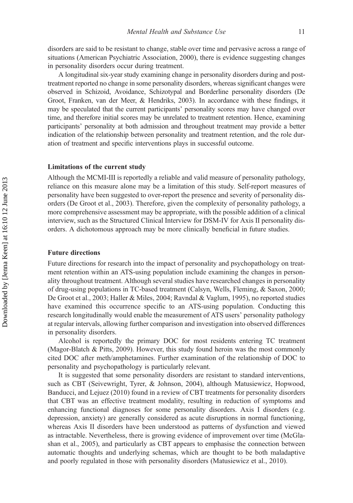disorders are said to be resistant to change, stable over time and pervasive across a range of situations (American Psychiatric Association, 2000), there is evidence suggesting changes in personality disorders occur during treatment.

A longitudinal six-year study examining change in personality disorders during and posttreatment reported no change in some personality disorders, whereas significant changes were observed in Schizoid, Avoidance, Schizotypal and Borderline personality disorders (De Groot, Franken, van der Meer, & Hendriks, 2003). In accordance with these findings, it may be speculated that the current participants' personality scores may have changed over time, and therefore initial scores may be unrelated to treatment retention. Hence, examining participants' personality at both admission and throughout treatment may provide a better indication of the relationship between personality and treatment retention, and the role duration of treatment and specific interventions plays in successful outcome.

## Limitations of the current study

Although the MCMI-III is reportedly a reliable and valid measure of personality pathology, reliance on this measure alone may be a limitation of this study. Self-report measures of personality have been suggested to over-report the presence and severity of personality disorders (De Groot et al., 2003). Therefore, given the complexity of personality pathology, a more comprehensive assessment may be appropriate, with the possible addition of a clinical interview, such as the Structured Clinical Interview for DSM-IV for Axis II personality disorders. A dichotomous approach may be more clinically beneficial in future studies.

# Future directions

Future directions for research into the impact of personality and psychopathology on treatment retention within an ATS-using population include examining the changes in personality throughout treatment. Although several studies have researched changes in personality of drug-using populations in TC-based treatment (Calsyn, Wells, Fleming, & Saxon, 2000; De Groot et al., 2003; Haller & Miles, 2004; Ravndal & Vaglum, 1995), no reported studies have examined this occurrence specific to an ATS-using population. Conducting this research longitudinally would enable the measurement of ATS users' personality pathology at regular intervals, allowing further comparison and investigation into observed differences in personality disorders.

Alcohol is reportedly the primary DOC for most residents entering TC treatment (Magor-Blatch & Pitts, 2009). However, this study found heroin was the most commonly cited DOC after meth/amphetamines. Further examination of the relationship of DOC to personality and psychopathology is particularly relevant.

It is suggested that some personality disorders are resistant to standard interventions, such as CBT (Seivewright, Tyrer, & Johnson, 2004), although Matusiewicz, Hopwood, Banducci, and Lejuez (2010) found in a review of CBT treatments for personality disorders that CBT was an effective treatment modality, resulting in reduction of symptoms and enhancing functional diagnoses for some personality disorders. Axis I disorders (e.g. depression, anxiety) are generally considered as acute disruptions in normal functioning, whereas Axis II disorders have been understood as patterns of dysfunction and viewed as intractable. Nevertheless, there is growing evidence of improvement over time (McGlashan et al., 2005), and particularly as CBT appears to emphasise the connection between automatic thoughts and underlying schemas, which are thought to be both maladaptive and poorly regulated in those with personality disorders (Matusiewicz et al., 2010).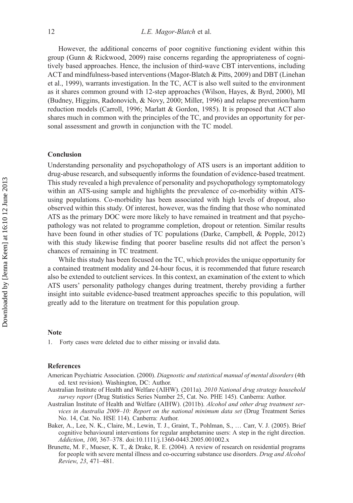However, the additional concerns of poor cognitive functioning evident within this group (Gunn & Rickwood, 2009) raise concerns regarding the appropriateness of cognitively based approaches. Hence, the inclusion of third-wave CBT interventions, including ACT and mindfulness-based interventions (Magor-Blatch & Pitts, 2009) and DBT (Linehan et al., 1999), warrants investigation. In the TC, ACT is also well suited to the environment as it shares common ground with 12-step approaches (Wilson, Hayes, & Byrd, 2000), MI (Budney, Higgins, Radonovich, & Novy, 2000; Miller, 1996) and relapse prevention/harm reduction models (Carroll, 1996; Marlatt & Gordon, 1985). It is proposed that ACT also shares much in common with the principles of the TC, and provides an opportunity for personal assessment and growth in conjunction with the TC model.

# Conclusion

Understanding personality and psychopathology of ATS users is an important addition to drug-abuse research, and subsequently informs the foundation of evidence-based treatment. This study revealed a high prevalence of personality and psychopathology symptomatology within an ATS-using sample and highlights the prevalence of co-morbidity within ATSusing populations. Co-morbidity has been associated with high levels of dropout, also observed within this study. Of interest, however, was the finding that those who nominated ATS as the primary DOC were more likely to have remained in treatment and that psychopathology was not related to programme completion, dropout or retention. Similar results have been found in other studies of TC populations (Darke, Campbell, & Popple, 2012) with this study likewise finding that poorer baseline results did not affect the person's chances of remaining in TC treatment.

While this study has been focused on the TC, which provides the unique opportunity for a contained treatment modality and 24-hour focus, it is recommended that future research also be extended to outclient services. In this context, an examination of the extent to which ATS users' personality pathology changes during treatment, thereby providing a further insight into suitable evidence-based treatment approaches specific to this population, will greatly add to the literature on treatment for this population group.

#### **Note**

1. Forty cases were deleted due to either missing or invalid data.

# References

- American Psychiatric Association. (2000). Diagnostic and statistical manual of mental disorders (4th ed. text revision). Washington, DC: Author.
- Australian Institute of Health and Welfare (AIHW). (2011a). 2010 National drug strategy household survey report (Drug Statistics Series Number 25, Cat. No. PHE 145). Canberra: Author.
- Australian Institute of Health and Welfare (AIHW). (2011b). Alcohol and other drug treatment services in Australia 2009–10: Report on the national minimum data set (Drug Treatment Series No. 14, Cat. No. HSE 114). Canberra: Author.
- Baker, A., Lee, N. K., Claire, M., Lewin, T. J., Graint, T., Pohlman, S., … Carr, V. J. (2005). Brief cognitive behavioural interventions for regular amphetamine users: A step in the right direction. Addiction, 100, 367–378. doi:10.1111/j.1360-0443.2005.001002.x
- Brunette, M. F., Mueser, K. T., & Drake, R. E. (2004). A review of research on residential programs for people with severe mental illness and co-occurring substance use disorders. Drug and Alcohol Review, 23, 471–481.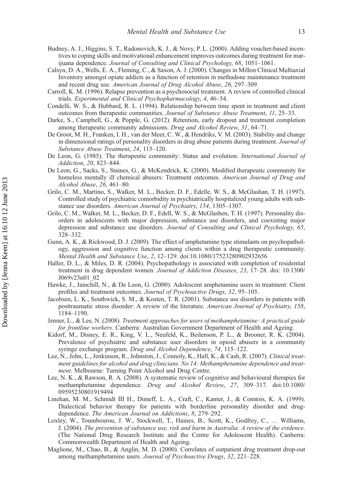- Budney, A. J., Higgins, S. T., Radonovich, K. J., & Novy, P. L. (2000). Adding voucher-based incentives to coping skills and motivational enhancement improves outcomes during treatment for marijuana dependence. Journal of Consulting and Clinical Psychology, 68, 1051–1061.
- Calsyn, D. A., Wells, E. A., Fleming, C., & Saxon, A. J. (2000). Changes in Millon Clinical Multiaxial Inventory amongst opiate addicts as a function of retention in methadone maintenance treatment and recent drug use. American Journal of Drug Alcohol Abuse, 26, 297–309.
- Carroll, K. M. (1996). Relapse prevention as a psychosocial treatment. A review of controlled clinical trials. Experimental and Clinical Psychopharmacology, 4, 46–54.
- Condelli, W. S., & Hubbard, R. L. (1994). Relationship between time spent in treatment and client outcomes from therapeutic communities. Journal of Substance Abuse Treatment, 11, 25-33.
- Darke, S., Campbell, G., & Popple, G. (2012). Retention, early dropout and treatment completion among therapeutic community admissions. Drug and Alcohol Review, 31, 64–71.
- De Groot, M. H., Franken, I. H., van der Meer, C. W., & Hendriks, V. M. (2003). Stability and change in dimensional ratings of personality disorders in drug abuse patients during treatment. Journal of Substance Abuse Treatment, 24, 115–120.
- De Leon, G. (1985). The therapeutic community: Status and evolution. International Journal of Addiction, 20, 823–844.
- De Leon, G., Sacks, S., Staines, G., & McKendrick, K. (2000). Modified therapeutic community for homeless mentally ill chemical abusers: Treatment outcomes. American Journal of Drug and Alcohol Abuse, 26, 461–80.
- Grilo, C. M., Martino, S., Walker, M. L., Becker, D. F., Edelle, W. S., & McGlashan, T. H. (1997). Controlled study of psychiatric comorbidity in psychiatrically hospitalized young adults with substance use disorders. American Journal of Psychiatry, 154, 1305–1307.
- Grilo, C. M., Walker, M. L., Becker, D. F., Edell, W. S., & McGlashen, T. H. (1997). Personality disorders in adolescents with major depression, substance use disorders, and coexisting major depression and substance use disorders. Journal of Consulting and Clinical Psychology, 65, 328–332.
- Gunn, A. K., & Rickwood, D. J. (2009). The effect of amphetamine type stimulants on psychopathology, aggression and cognitive function among clients within a drug therapeutic community. Mental Health and Substance Use, 2, 12–129. doi:10.1080/17523280902932656
- Haller, D. L., & Miles, D. R. (2004). Psychopathology is associated with completion of residential treatment in drug dependent women. Journal of Addiction Diseases, 23, 17–28. doi: 10.1300/ J069v23n01\_02
- Hawke, J., Jainchill, N., & De Leon, G. (2000). Adolescent amphetamine users in treatment: Client profiles and treatment outcomes. Journal of Psychoactive Drugs, 32, 95–105.
- Jacobsen, L. K., Southwick, S. M., & Kosten, T. R. (2001). Substance use disorders in patients with posttraumatic stress disorder: A review of the literature. American Journal of Psychiatry, 158, 1184–1190.
- Jenner, L., & Lee, N. (2008). Treatment approaches for users of methamphetamine: A practical guide for frontline workers. Canberra: Australian Government Department of Health and Ageing.
- Kidorf, M., Disney, E. R., King, V. L., Neufeld, K., Beilenson, P. L., & Brooner, R. K. (2004). Prevalence of psychiatric and substance user disorders in opioid abusers in a community syringe exchange program. Drug and Alcohol Dependence, 74, 115-122.
- Lee, N., John, L., Jenkinson, R., Johnston, J., Connoly, K., Hall, K., & Cash, R. (2007). Clinical treatment guidelines for alcohol and drug clinicians. No 14: Methamphetamine dependence and treatment. Melbourne: Turning Point Alcohol and Drug Centre.
- Lee, N. K., & Rawson, R. A. (2008). A systematic review of cognitive and behavioural therapies for methamphetamine dependence. Drug and Alcohol Review, 27, 309–317. doi:10.1080/ 09595230801919494
- Linehan, M. M., Schmidt III H., Dimeff, L. A., Craft, C., Kanter, J., & Comtois, K. A. (1999). Dialectical behavior therapy for patients with borderline personality disorder and drugdependence. The American Journal on Addictions, 8, 279–292.
- Loxley, W., Toumbourou, J. W., Stockwell, T., Haines, B., Scott, K., Godfrey, C., … Williams, J. (2004). The prevention of substance use, risk and harm in Australia: A review of the evidence. (The National Drug Research Institute and the Centre for Adolescent Health). Canberra: Commonwealth Department of Health and Ageing.
- Maglione, M., Chao, B., & Anglin, M. D. (2000). Correlates of outpatient drug treatment drop-out among methamphetamine users. Journal of Psychoactive Drugs, 32, 221–228.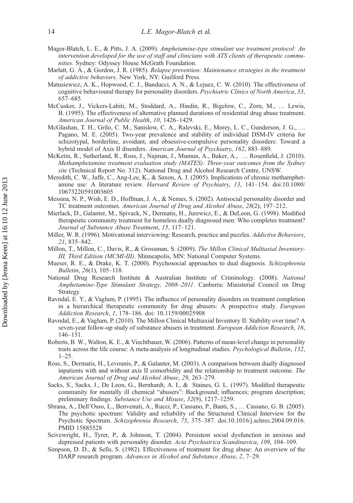- Magor-Blatch, L. E., & Pitts, J. A. (2009). Amphetamine-type stimulant use treatment protocol: An intervention developed for the use of staff and clinicians with ATS clients of therapeutic communities. Sydney: Odyssey House McGrath Foundation.
- Marlatt, G. A., & Gordon, J. R. (1985). Relapse prevention: Maintenance strategies in the treatment of addictive behaviors. New York, NY: Guilford Press.
- Matusiewicz, A. K., Hopwood, C. J., Banducci, A. N., & Lejuez, C. W. (2010). The effectiveness of cognitive behavioural therapy for personality disorders. Psychiatric Clinics of North America, 33, 657–685.
- McCusker, J., Vickers-Lahiti, M., Stoddard, A., Hindin, R., Bigelow, C., Zorn, M., … Lewis, B. (1995). The effectiveness of alternative planned durations of residential drug abuse treatment. American Journal of Public Health, 10, 1426–1429.
- McGlashan, T. H., Grilo, C. M., Sanislow, C. A., Ralevski, E., Morey, L. C., Gunderson, J. G., … Pagano, M. E. (2005). Two-year prevalence and stability of individual DSM-IV criteria for schizotypal, borderline, avoidant, and obsessive-compulsive personality disorders: Toward a hybrid model of Axis II disorders. American Journal of Psychiatry, 162, 883–889.
- McKetin, R., Sutherland, R., Ross, J., Najman, J., Mumun, A., Baker, A., … Rosenfield, J. (2010). Methamphetamine treatment evaluation study (MATES): Three-year outcomes from the Sydney site (Technical Report No. 312). National Drug and Alcohol Research Centre, UNSW.
- Meredith, C. W., Jaffe, C., Ang-Lee, K., & Saxon, A. J. (2005). Implications of chronic methamphetamine use: A literature review. Harvard Review of Psychiatry, 13, 141–154. doi:10.1080/ 10673220591003605
- Messina, N. P., Wish, E. D., Hoffman, J. A., & Nemes, S. (2002). Antisocial personality disorder and TC treatment outcomes. American Journal of Drug and Alcohol Abuse, 28(2), 197–212.
- Mierlack, D., Galanter, M., Spivack, N., Dermatis, H., Jurewicz, E., & DeLeon, G. (1998). Modified therapeutic community treatment for homeless dually diagnosed men: Who completes treatment? Journal of Substance Abuse Treatment, 15, 117–121.
- Miller, W. R. (1996). Motivational interviewing: Research, practice and puzzles. Addictive Behaviors, 21, 835–842.
- Millon, T., Millon, C., Davis, R., & Grossman, S. (2009). The Millon Clinical Multiaxial Inventory-III, Third Edition (MCMI-III). Minneapolis, MN: National Computer Systems.
- Mueser, R. E., & Drake, K. T. (2000). Psychosocial approaches to dual diagnosis. Schizophrenia Bulletin, 26(1), 105–118.
- National Drug Research Institute & Australian Institute of Criminology. (2008). National Amphetamine-Type Stimulant Strategy, 2008–2011. Canberra: Ministerial Council on Drug Strategy.
- Ravndal, E. Y., & Vaglum, P. (1995). The influence of personality disorders on treatment completion in a hierarchical therapeutic community for drug abusers: A prospective study. *European* Addiction Research, 1, 178–186. doi: 10.1159/00025908
- Ravndal, E., & Vaglum, P. (2010). The Millon Clinical Multiaxial Inventory II: Stability over time? A seven-year follow-up study of substance abusers in treatment. European Addiction Research, 16, 146–151.
- Roberts, B. W., Walton, K. E., & Viechtbauer, W. (2006). Patterns of mean-level change in personality traits across the life course: A meta-analysis of longitudinal studies. Psychological Bulletin, 132, 1–25.
- Ross, S., Dermatis, H., Levounis, P., & Galanter, M. (2003). A comparison between dually diagnosed inpatients with and without axis II comorbidity and the relationship to treatment outcome. The American Journal of Drug and Alcohol Abuse, 29, 263–279.
- Sacks, S., Sacks, J., De Leon, G., Bernhardt, A. I., & Staines, G. L. (1997). Modified therapeutic community for mentally ill chemical "abusers": Background; influences; program description; preliminary findings. Substance Use and Misuse, 32(9), 1217–1259.
- Sbrana, A., Dell'Osso, L., Benvenuti, A., Rucci, P., Cassano, P., Banti, S., … Cassano, G. B. (2005). The psychotic spectrum: Validity and reliability of the Structured Clinical Interview for the Psychotic Spectrum. Schizophrenia Research, 75, 375–387. doi:10.1016/j.schres.2004.09.016. PMID 15885528
- Seivewright, H., Tyrer, P., & Johnson, T. (2004). Persistent social dysfunction in anxious and depressed patients with personality disorder. Acta Psychiatrica Scandinavica, 109, 104-109.
- Simpson, D. D., & Sells, S. (1982). Effectiveness of treatment for drug abuse: An overview of the DARP research program. Advances in Alcohol and Substance Abuse, 2, 7–29.